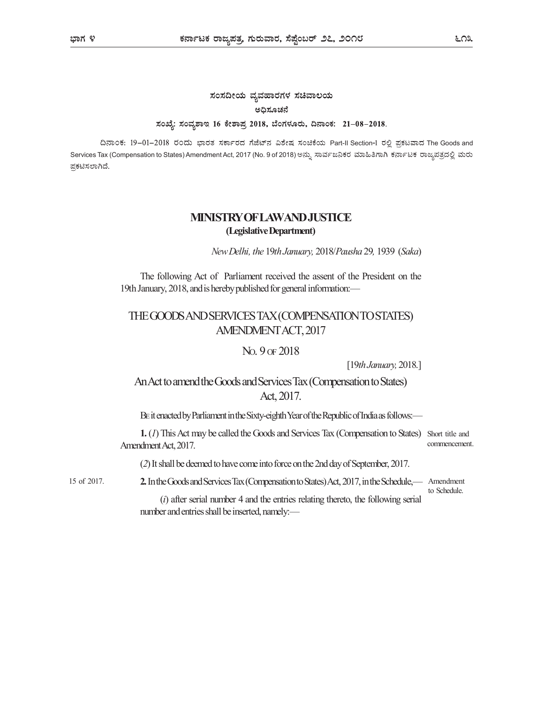# ಸಂಸದೀಯ ವ್ಯವಹಾರಗಳ ಸಚಿವಾಲಯ ಅಧಿಸೂಚನೆ ಸಂಖ್ಯೆ: ಸಂವ್ನಶಾಇ 16 ಕೇಶಾಪ್ರ 2018, ಬೆಂಗಳೂರು, ದಿನಾಂಕ: 21–08–2018.

ದಿನಾಂಕ: 19-01-2018 ರಂದು ಭಾರತ ಸರ್ಕಾರದ ಗೆಜೆಟ್ನ್ ವಿಶೇಷ ಸಂಚಿಕೆಯ Part-II Section-1 ರಲ್ಲಿ ಪ್ರಕಟವಾದ The Goods and Services Tax (Compensation to States) Amendment Act, 2017 (No. 9 of 2018) ಅನ್ನು ಸಾರ್ವಜನಿಕರ ಮಾಹಿತಿಗಾಗಿ ಕರ್ನಾಟಕ ರಾಜ್ಯಪತ್ರದಲ್ಲಿ ಮರು ಪ್ರಕಟಿಸಲಾಗಿದೆ.

### MINISTRY OF LAW AND JUSTICE (Legislative Department)

New Delhi, the 19th January, 2018/Pausha 29, 1939 (Saka)

The following Act of Parliament received the assent of the President on the 19th January, 2018, and is hereby published for general information:—

## THE GOODS AND SERVICES TAX (COMPENSATION TO STATES) AMENDMENT ACT, 2017

#### NO. 9 OF 2018

[19th January, 2018.]

# An Act to amend the Goods and Services Tax (Compensation to States) Act, 2017.

BE it enacted by Parliament in the Sixty-eighth Year of the Republic of India as follows:—

1. (1) This Act may be called the Goods and Services Tax (Compensation to States) Short title and Amendment Act, 2017. commencement.

(2) It shall be deemed to have come into force on the 2nd day of September, 2017.

2.In the Goods and Services Tax (Compensation to States) Act, 2017, in the Schedule,— Amendment 15 of 2017. to Schedule.

> $(i)$  after serial number 4 and the entries relating thereto, the following serial number and entries shall be inserted, namely:—